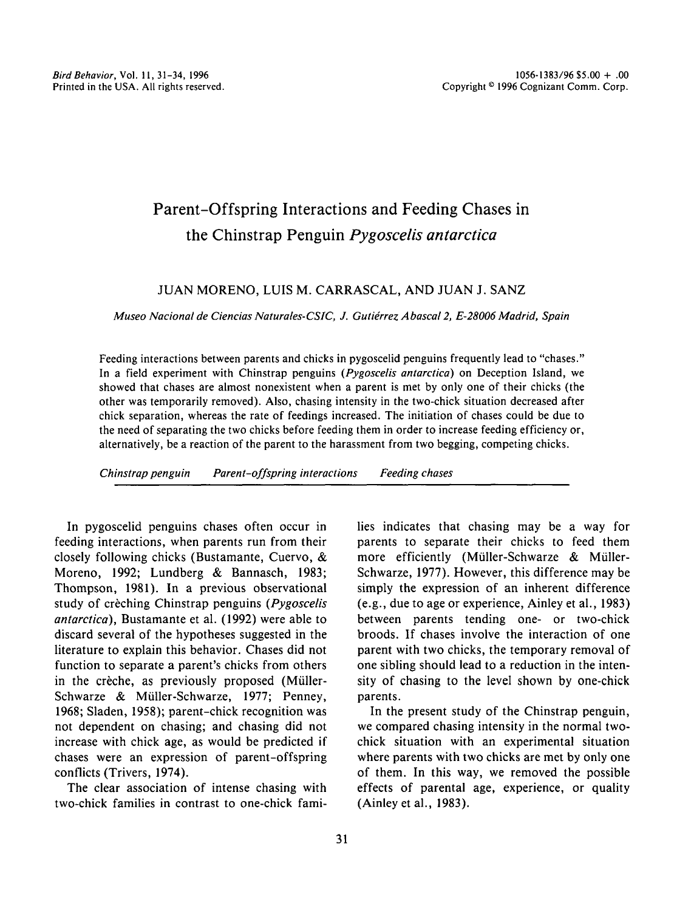# Parent-Offspring Interactions and Feeding Chases in the Chinstrap Penguin *Pygoscelis antarctica*

## JUAN MORENO, LUIS M. CARRASCAL, AND JUAN J. SANZ

*Museo Nacional de Ciencias Naturales-CSIC, J. Gutierrez Abascal* 2, *£-28006 Madrid, Spain*

Feeding interactions between parents and chicks in pygoscelid penguins frequently lead to "chases." In a field experiment with Chinstrap penguins *(Pygoscelis antarctica)* on Deception Island, we showed that chases are almost nonexistent when a parent is met by only one of their chicks (the other was temporarily removed). Also, chasing intensity in the two-chick situation decreased after chick separation, whereas the rate of feedings increased. The initiation of chases could be due to the need of separating the two chicks before feeding them in order to increase feeding efficiency or, alternatively, be a reaction of the parent to the harassment from two begging, competing chicks.

*Chinstrap penguin Parent-offspring interactions Feeding chases*

In pygoscelid penguins chases often occur in feeding interactions, when parents run from their closely following chicks (Bustamante, Cuervo, & Moreno, 1992; Lundberg & Bannasch, 1983; Thompson, 1981). In a previous observational study of creching Chinstrap penguins *(Pygoscelis antarctica),* Bustamante et al. (1992) were able to discard several of the hypotheses suggested in the literature to explain this behavior. Chases did not function to separate a parent's chicks from others in the crèche, as previously proposed (Müller-Schwarze & Müller-Schwarze, 1977; Penney, 1968; Sladen, 1958); parent-chick recognition was not dependent on chasing; and chasing did not increase with chick age, as would be predicted if chases were an expression of parent-offspring conflicts (Trivers, 1974).

The clear association of intense chasing with two-chick families in contrast to one-chick families indicates that chasing may be a way for parents to separate their chicks to feed them more efficiently (Müller-Schwarze & Müller-Schwarze, 1977). However, this difference may be simply the expression of an inherent difference (e.g., due to age or experience, Ainley et al., 1983) between parents tending one- or two-chick broods. If chases involve the interaction of one parent with two chicks, the temporary removal of one sibling should lead to a reduction in the intensity of chasing to the level shown by one-chick parents.

In the present study of the Chinstrap penguin, we compared chasing intensity in the normal twochick situation with an experimental situation where parents with two chicks are met by only one of them. In this way, we removed the possible effects of parental age, experience, or quality (Ainley et al., 1983).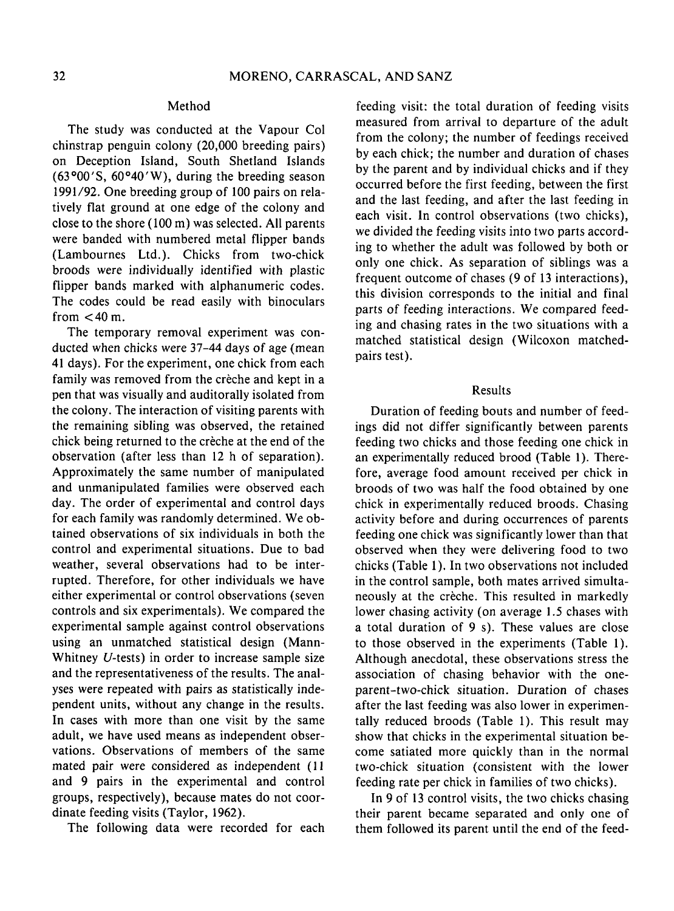### Method

The study was conducted at the Vapour Col chinstrap penguin colony (20,000 breeding pairs) on Deception Island, South Shetland Islands  $(63°00'$ S,  $60°40'$ W), during the breeding season 1991/92. One breeding group of 100 pairs on relatively flat ground at one edge of the colony and close to the shore (100 m) was selected. All parents were banded with numbered metal flipper bands (Lambournes Ltd.). Chicks from two-chick broods were individually identified with plastic flipper bands marked with alphanumeric codes. The codes could be read easily with binoculars from  $<$  40 m.

The temporary removal experiment was conducted when chicks were 37-44 days of age (mean 41 days). For the experiment, one chick from each family was removed from the crèche and kept in a pen that was visually and auditorally isolated from the colony. The interaction of visiting parents with the remaining sibling was observed, the retained chick being returned to the creche at the end of the observation (after less than 12 h of separation). Approximately the same number of manipulated and unmanipulated families were observed each day. The order of experimental and control days for each family was randomly determined. We obtained observations of six individuals in both the control and experimental situations. Due to bad weather, several observations had to be interrupted. Therefore, for other individuals we have either experimental or control observations (seven controls and six experimentals). We compared the experimental sample against control observations using an unmatched statistical design (Mann-Whitney V-tests) in order to increase sample size and the representativeness of the results. The analyses were repeated with pairs as statistically independent units, without any change in the results. In cases with more than one visit by the same adult, we have used means as independent observations. Observations of members of the same mated pair were considered as independent (11 and 9 pairs in the experimental and control groups, respectively), because mates do not coordinate feeding visits (Taylor, 1962).

The following data were recorded for each

feeding visit: the total duration of feeding visits measured from arrival to departure of the adult from the colony; the number of feedings received by each chick; the number and duration of chases by the parent and by individual chicks and if they occurred before the first feeding, between the first and the last feeding, and after the last feeding in each visit. In control observations (two chicks), we divided the feeding visits into two parts according to whether the adult was followed by both or only one chick. As separation of siblings was a frequent outcome of chases (9 of 13 interactions), this division corresponds to the initial and final parts of feeding interactions. We compared feeding and chasing rates in the two situations with a matched statistical design (Wilcoxon matchedpairs test).

### Results

Duration of feeding bouts and number of feedings did not differ significantly between parents feeding two chicks and those feeding one chick in an experimentally reduced brood (Table 1). Therefore, average food amount received per chick in broods of two was half the food obtained by one chick in experimentally reduced broods. Chasing activity before and during occurrences of parents feeding one chick was significantly lower than that observed when they were delivering food to two chicks (Table I). In two observations not included in the control sample, both mates arrived simultaneously at the crèche. This resulted in markedly lower chasing activity (on average 1.5 chases with a total duration of 9 s). These values are close to those observed in the experiments (Table I). Although anecdotal, these observations stress the association of chasing behavior with the oneparent-two-chick situation. Duration of chases after the last feeding was also lower in experimentally reduced broods (Table I). This result may show that chicks in the experimental situation become satiated more quickly than in the normal two-chick situation (consistent with the lower feeding rate per chick in families of two chicks).

In 9 of 13 control visits, the two chicks chasing their parent became separated and only one of them followed its parent until the end of the feed-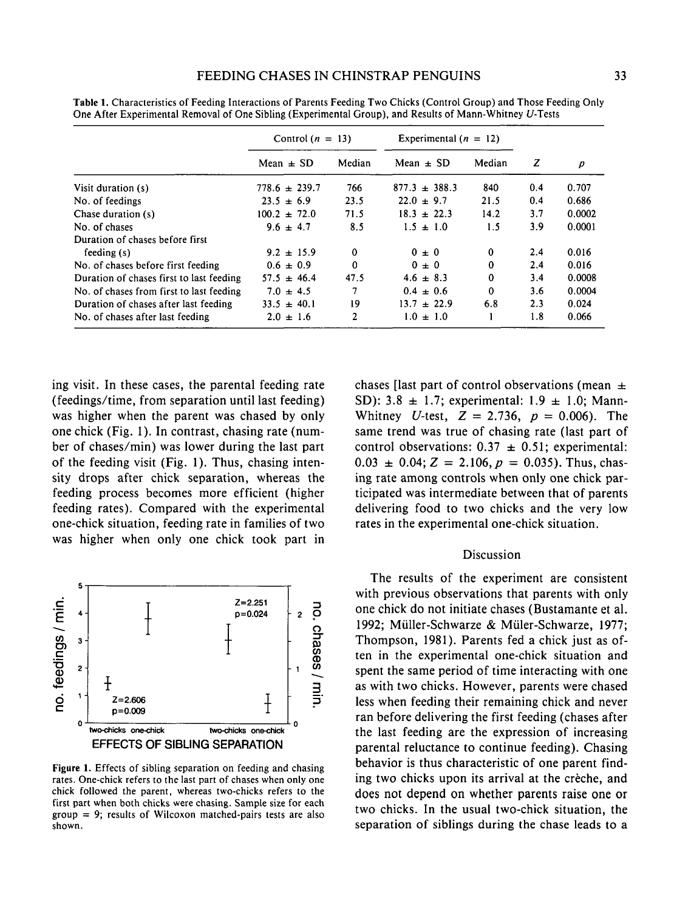|                                          | Control $(n = 13)$ |          | Experimental $(n = 12)$ |          |     |        |
|------------------------------------------|--------------------|----------|-------------------------|----------|-----|--------|
|                                          | Mean $\pm$ SD      | Median   | Mean $\pm$ SD           | Median   | z   | p      |
| Visit duration (s)                       | $778.6 \pm 239.7$  | 766      | $877.3 \pm 388.3$       | 840      | 0.4 | 0.707  |
| No. of feedings                          | $23.5 \pm 6.9$     | 23.5     | $22.0 \pm 9.7$          | 21.5     | 0.4 | 0.686  |
| Chase duration (s)                       | $100.2 \pm 72.0$   | 71.5     | $18.3 \pm 22.3$         | 14.2     | 3.7 | 0.0002 |
| No. of chases                            | $9.6 \pm 4.7$      | 8.5      | $1.5 \pm 1.0$           | 1.5      | 3.9 | 0.0001 |
| Duration of chases before first          |                    |          |                         |          |     |        |
| feeding $(s)$                            | $9.2 \pm 15.9$     | $\Omega$ | $0 \pm 0$               | $\Omega$ | 2.4 | 0.016  |
| No. of chases before first feeding       | $0.6 \pm 0.9$      | 0        | $0 \pm 0$               | $\bf{0}$ | 2.4 | 0.016  |
| Duration of chases first to last feeding | $57.5 \pm 46.4$    | 47.5     | $4.6 \pm 8.3$           | $\Omega$ | 3.4 | 0.0008 |
| No. of chases from first to last feeding | 7.0<br>± 4.5       | 7        | $0.4 \pm 0.6$           | $\Omega$ | 3.6 | 0.0004 |
| Duration of chases after last feeding    | $33.5 \pm 40.1$    | 19       | $13.7 \pm 22.9$         | 6.8      | 2.3 | 0.024  |
| No. of chases after last feeding         | 2.0<br>$\pm$ 1.6   | 2        | $1.0 \pm 1.0$           |          | 1.8 | 0.066  |

Table 1. Characteristics of Feeding Interactions of Parents Feeding Two Chicks (Control Group) and Those Feeding Only One After Experimental Removal of One Sibling (Experimental Group), and Results of Mann-Whitney V-Tests

ing visit. In these cases, the parental feeding rate (feedings/time, from separation until last feeding) was higher when the parent was chased by only one chick (Fig. 1). In contrast, chasing rate (number of chases/min) was lower during the last part of the feeding visit (Fig. 1). Thus, chasing intensity drops after chick separation, whereas the feeding process becomes more efficient (higher feeding rates). Compared with the experimental one-chick situation, feeding rate in families of two was higher when only one chick took part in



Figure 1. Effects of sibling separation on feeding and chasing rates. One-chick refers to the last part of chases when only one chick followed the parent, whereas two-chicks refers to the first part when both chicks were chasing. Sample size for each  $group = 9$ ; results of Wilcoxon matched-pairs tests are also shown.

chases [last part of control observations (mean  $\pm$ SD): 3.8  $\pm$  1.7; experimental: 1.9  $\pm$  1.0; Mann-Whitney *U*-test,  $Z = 2.736$ ,  $p = 0.006$ ). The same trend was true of chasing rate (last part of control observations:  $0.37 \pm 0.51$ ; experimental:  $0.03 \pm 0.04$ ;  $Z = 2.106$ ,  $p = 0.035$ ). Thus, chasing rate among controls when only one chick participated was intermediate between that of parents delivering food to two chicks and the very low rates in the experimental one-chick situation.

## Discussion

The results of the experiment are consistent with previous observations that parents with only one chick do not initiate chases (Bustamante et al. 1992; Miiller-Schwarze & Miiler-Schwarze, 1977; Thompson, 1981). Parents fed a chick just as often in the experimental one-chick situation and spent the same period of time interacting with one as with two chicks. However, parents were chased less when feeding their remaining chick and never ran before delivering the first feeding (chases after the last feeding are the expression of increasing parental reluctance to continue feeding). Chasing behavior is thus characteristic of one parent finding two chicks upon its arrival at the crèche, and does not depend on whether parents raise one or two chicks. In the usual two-chick situation, the separation of siblings during the chase leads to a